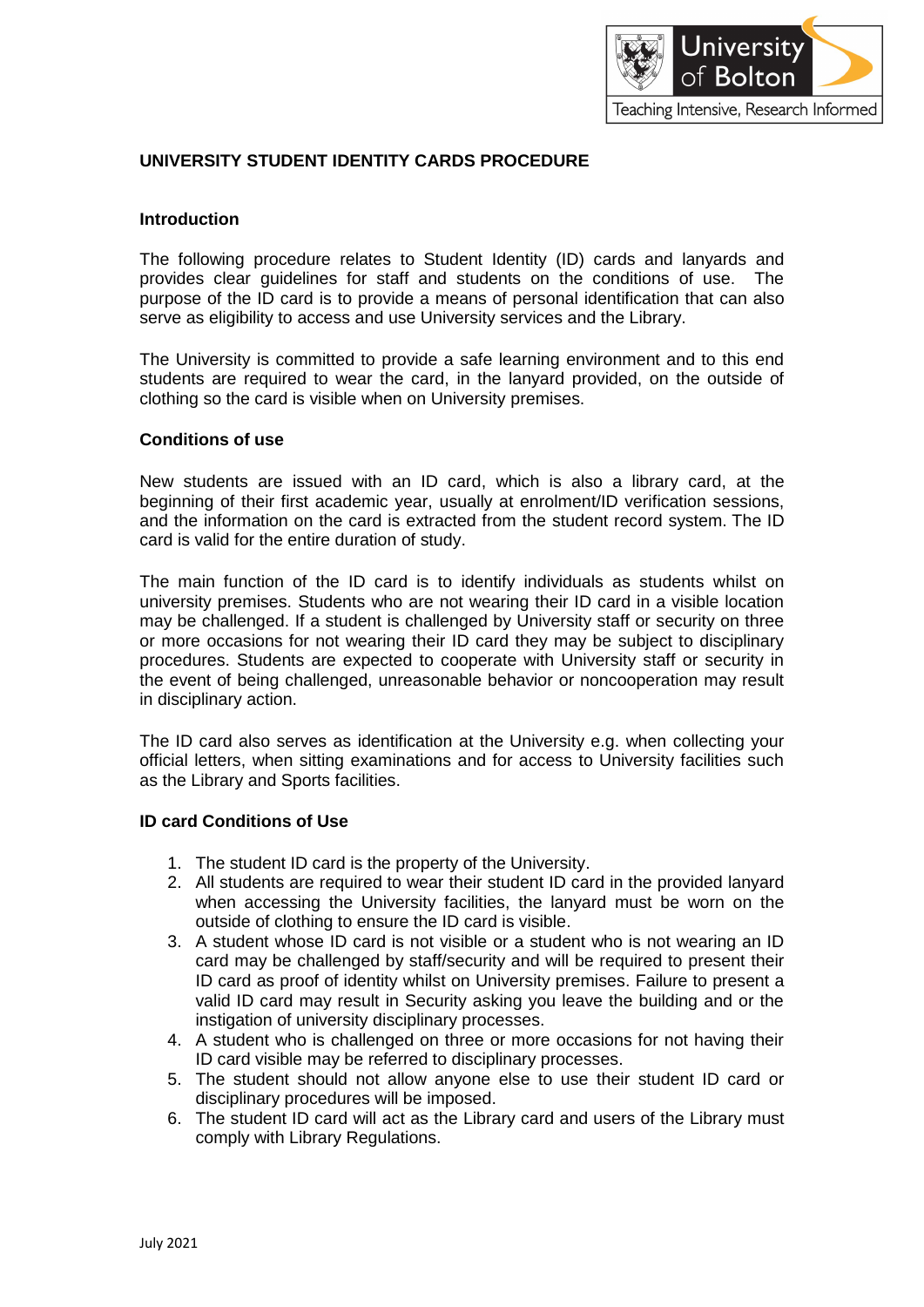

## **UNIVERSITY STUDENT IDENTITY CARDS PROCEDURE**

#### **Introduction**

The following procedure relates to Student Identity (ID) cards and lanyards and provides clear guidelines for staff and students on the conditions of use. The purpose of the ID card is to provide a means of personal identification that can also serve as eligibility to access and use University services and the Library.

The University is committed to provide a safe learning environment and to this end students are required to wear the card, in the lanyard provided, on the outside of clothing so the card is visible when on University premises.

#### **Conditions of use**

New students are issued with an ID card, which is also a library card, at the beginning of their first academic year, usually at enrolment/ID verification sessions, and the information on the card is extracted from the student record system. The ID card is valid for the entire duration of study.

The main function of the ID card is to identify individuals as students whilst on university premises. Students who are not wearing their ID card in a visible location may be challenged. If a student is challenged by University staff or security on three or more occasions for not wearing their ID card they may be subject to disciplinary procedures. Students are expected to cooperate with University staff or security in the event of being challenged, unreasonable behavior or noncooperation may result in disciplinary action.

The ID card also serves as identification at the University e.g. when collecting your official letters, when sitting examinations and for access to University facilities such as the Library and Sports facilities.

#### **ID card Conditions of Use**

- 1. The student ID card is the property of the University.
- 2. All students are required to wear their student ID card in the provided lanyard when accessing the University facilities, the lanyard must be worn on the outside of clothing to ensure the ID card is visible.
- 3. A student whose ID card is not visible or a student who is not wearing an ID card may be challenged by staff/security and will be required to present their ID card as proof of identity whilst on University premises. Failure to present a valid ID card may result in Security asking you leave the building and or the instigation of university disciplinary processes.
- 4. A student who is challenged on three or more occasions for not having their ID card visible may be referred to disciplinary processes.
- 5. The student should not allow anyone else to use their student ID card or disciplinary procedures will be imposed.
- 6. The student ID card will act as the Library card and users of the Library must comply with Library Regulations.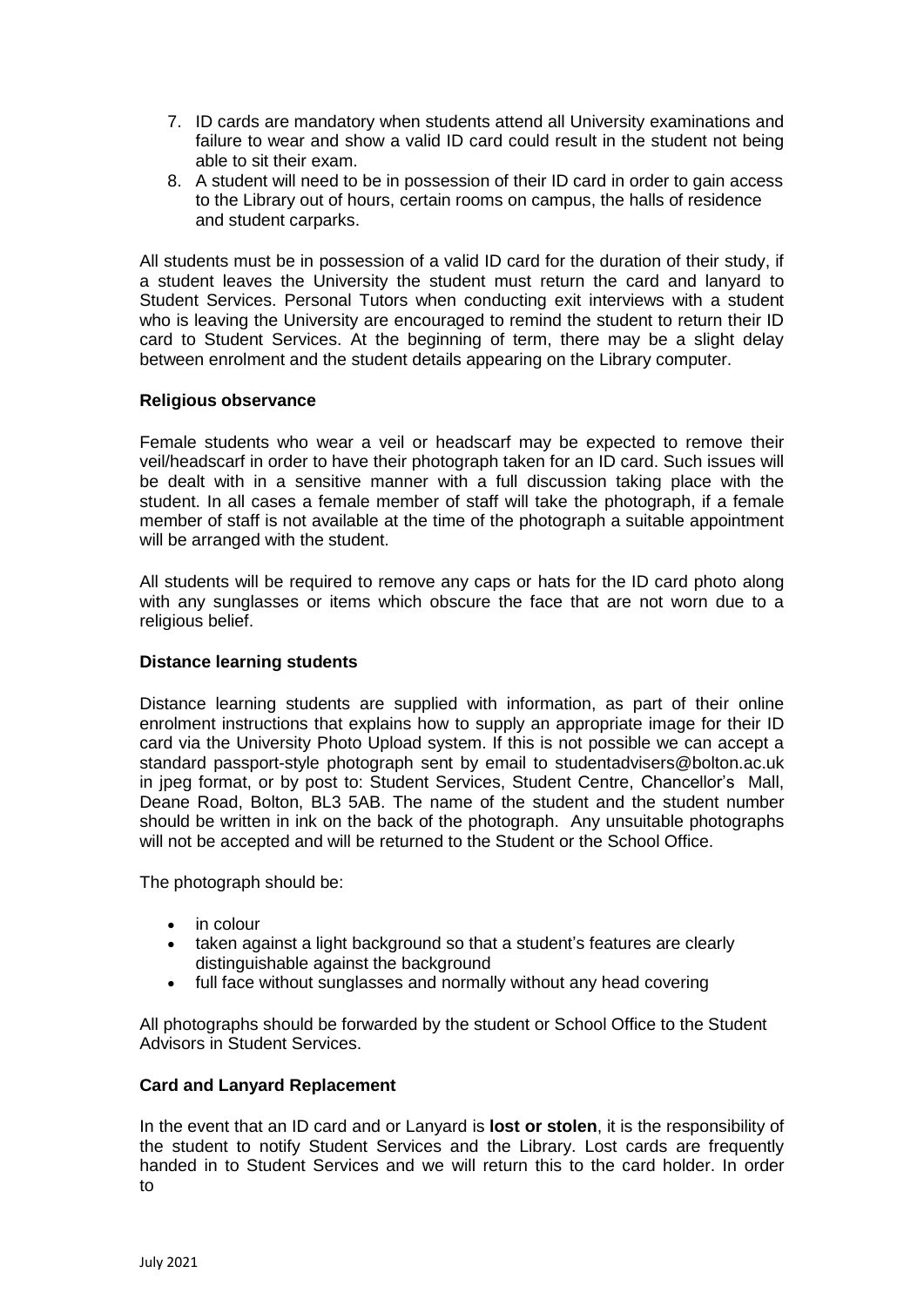- 7. ID cards are mandatory when students attend all University examinations and failure to wear and show a valid ID card could result in the student not being able to sit their exam.
- 8. A student will need to be in possession of their ID card in order to gain access to the Library out of hours, certain rooms on campus, the halls of residence and student carparks.

All students must be in possession of a valid ID card for the duration of their study, if a student leaves the University the student must return the card and lanyard to Student Services. Personal Tutors when conducting exit interviews with a student who is leaving the University are encouraged to remind the student to return their ID card to Student Services. At the beginning of term, there may be a slight delay between enrolment and the student details appearing on the Library computer.

## **Religious observance**

Female students who wear a veil or headscarf may be expected to remove their veil/headscarf in order to have their photograph taken for an ID card. Such issues will be dealt with in a sensitive manner with a full discussion taking place with the student. In all cases a female member of staff will take the photograph, if a female member of staff is not available at the time of the photograph a suitable appointment will be arranged with the student.

All students will be required to remove any caps or hats for the ID card photo along with any sunglasses or items which obscure the face that are not worn due to a religious belief.

#### **Distance learning students**

Distance learning students are supplied with information, as part of their online enrolment instructions that explains how to supply an appropriate image for their ID card via the University Photo Upload system. If this is not possible we can accept a standard passport-style photograph sent by email to [studentadvisers@bolton.ac.uk](mailto:studentadvisers@bolton.ac.uk) in jpeg format, or by post to: Student Services, Student Centre, Chancellor's Mall, Deane Road, Bolton, BL3 5AB. The name of the student and the student number should be written in ink on the back of the photograph. Any unsuitable photographs will not be accepted and will be returned to the Student or the School Office.

The photograph should be:

- in colour
- taken against a light background so that a student's features are clearly distinguishable against the background
- full face without sunglasses and normally without any head covering

All photographs should be forwarded by the student or School Office to the Student Advisors in Student Services.

#### **Card and Lanyard Replacement**

In the event that an ID card and or Lanyard is **lost or stolen**, it is the responsibility of the student to notify Student Services and the Library. Lost cards are frequently handed in to Student Services and we will return this to the card holder. In order to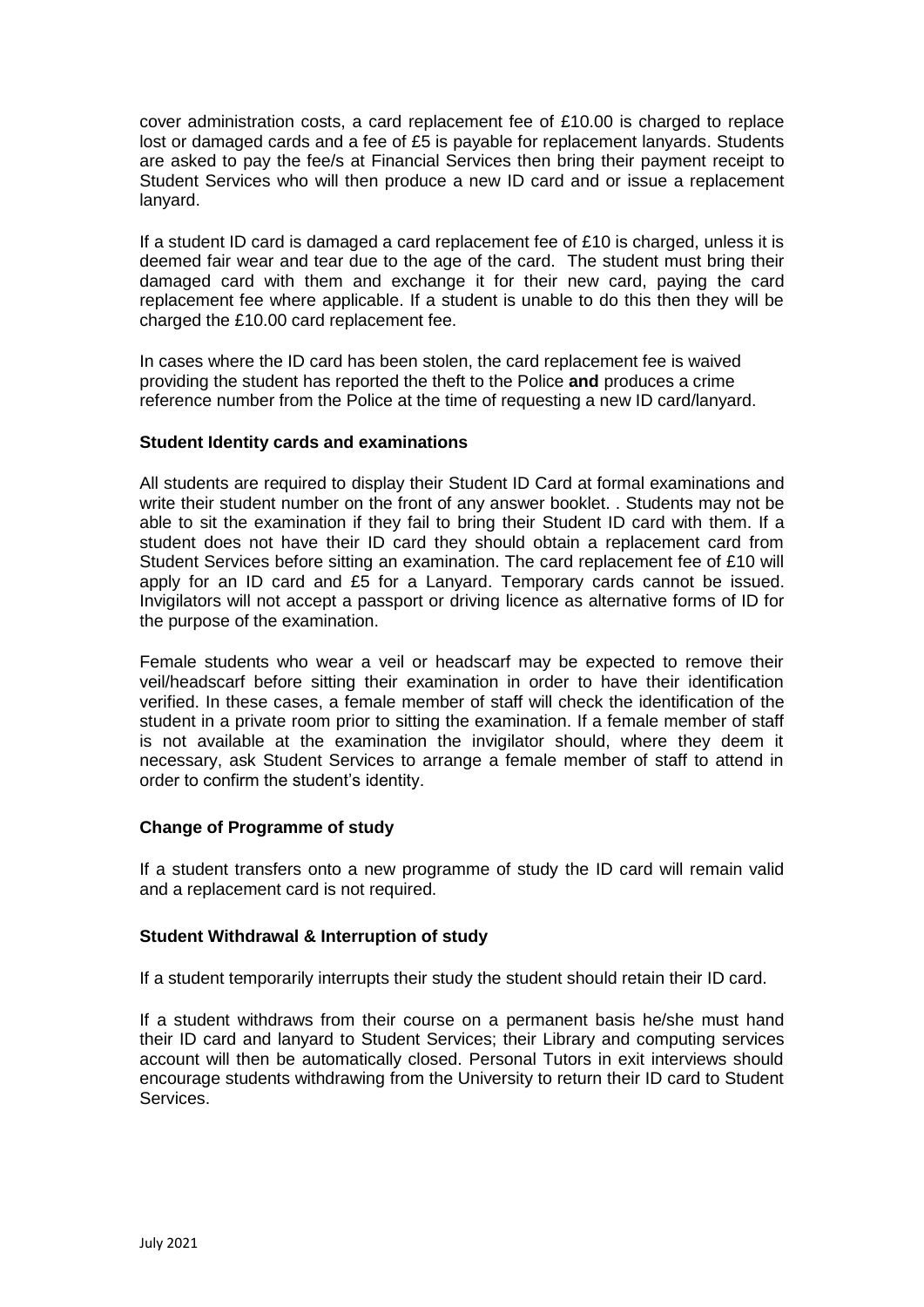cover administration costs, a card replacement fee of £10.00 is charged to replace lost or damaged cards and a fee of £5 is payable for replacement lanyards. Students are asked to pay the fee/s at Financial Services then bring their payment receipt to Student Services who will then produce a new ID card and or issue a replacement lanyard.

If a student ID card is damaged a card replacement fee of £10 is charged, unless it is deemed fair wear and tear due to the age of the card. The student must bring their damaged card with them and exchange it for their new card, paying the card replacement fee where applicable. If a student is unable to do this then they will be charged the £10.00 card replacement fee.

In cases where the ID card has been stolen, the card replacement fee is waived providing the student has reported the theft to the Police **and** produces a crime reference number from the Police at the time of requesting a new ID card/lanyard.

#### **Student Identity cards and examinations**

All students are required to display their Student ID Card at formal examinations and write their student number on the front of any answer booklet. . Students may not be able to sit the examination if they fail to bring their Student ID card with them. If a student does not have their ID card they should obtain a replacement card from Student Services before sitting an examination. The card replacement fee of £10 will apply for an ID card and £5 for a Lanyard. Temporary cards cannot be issued. Invigilators will not accept a passport or driving licence as alternative forms of ID for the purpose of the examination.

Female students who wear a veil or headscarf may be expected to remove their veil/headscarf before sitting their examination in order to have their identification verified. In these cases, a female member of staff will check the identification of the student in a private room prior to sitting the examination. If a female member of staff is not available at the examination the invigilator should, where they deem it necessary, ask Student Services to arrange a female member of staff to attend in order to confirm the student's identity.

## **Change of Programme of study**

If a student transfers onto a new programme of study the ID card will remain valid and a replacement card is not required.

#### **Student Withdrawal & Interruption of study**

If a student temporarily interrupts their study the student should retain their ID card.

If a student withdraws from their course on a permanent basis he/she must hand their ID card and lanyard to Student Services; their Library and computing services account will then be automatically closed. Personal Tutors in exit interviews should encourage students withdrawing from the University to return their ID card to Student Services.